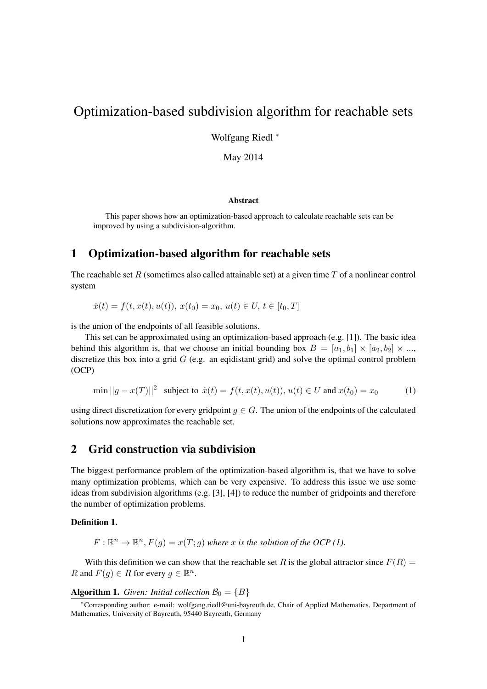# Optimization-based subdivision algorithm for reachable sets

Wolfgang Riedl <sup>∗</sup>

May 2014

#### Abstract

This paper shows how an optimization-based approach to calculate reachable sets can be improved by using a subdivision-algorithm.

### 1 Optimization-based algorithm for reachable sets

The reachable set R (sometimes also called attainable set) at a given time  $T$  of a nonlinear control system

 $\dot{x}(t) = f(t, x(t), u(t)), x(t_0) = x_0, u(t) \in U, t \in [t_0, T]$ 

is the union of the endpoints of all feasible solutions.

This set can be approximated using an optimization-based approach (e.g. [1]). The basic idea behind this algorithm is, that we choose an initial bounding box  $B = [a_1, b_1] \times [a_2, b_2] \times ...$ discretize this box into a grid  $G$  (e.g. an eqidistant grid) and solve the optimal control problem (OCP)

$$
\min ||g - x(T)||^2 \text{ subject to } \dot{x}(t) = f(t, x(t), u(t)), u(t) \in U \text{ and } x(t_0) = x_0 \tag{1}
$$

using direct discretization for every gridpoint  $g \in G$ . The union of the endpoints of the calculated solutions now approximates the reachable set.

### 2 Grid construction via subdivision

The biggest performance problem of the optimization-based algorithm is, that we have to solve many optimization problems, which can be very expensive. To address this issue we use some ideas from subdivision algorithms (e.g. [3], [4]) to reduce the number of gridpoints and therefore the number of optimization problems.

#### Definition 1.

$$
F: \mathbb{R}^n \to \mathbb{R}^n, F(g) = x(T; g)
$$
 where x is the solution of the OCP (1).

With this definition we can show that the reachable set R is the global attractor since  $F(R)$  = R and  $F(g) \in R$  for every  $g \in \mathbb{R}^n$ .

#### **Algorithm 1.** *Given: Initial collection*  $\mathcal{B}_0 = \{B\}$

<sup>∗</sup>Corresponding author: e-mail: wolfgang.riedl@uni-bayreuth.de, Chair of Applied Mathematics, Department of Mathematics, University of Bayreuth, 95440 Bayreuth, Germany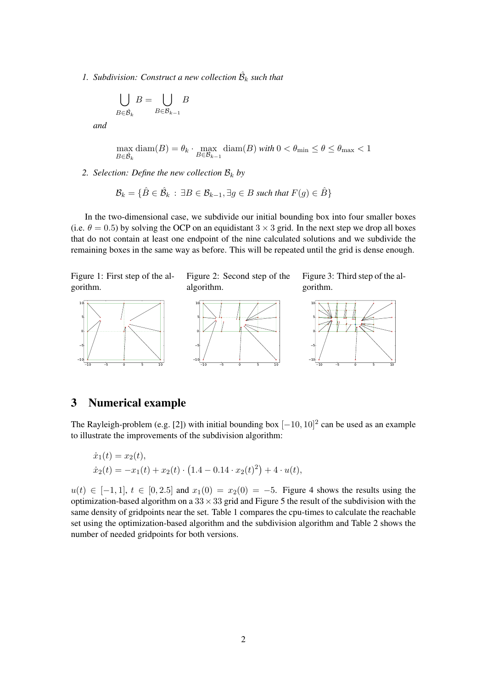1. Subdivision: Construct a new collection  $\hat{\mathcal{B}}_k$  such that

$$
\bigcup_{B \in \hat{\mathcal{B}}_k} B = \bigcup_{B \in \mathcal{B}_{k-1}} B
$$

*and*

$$
\max_{B \in \hat{\mathcal{B}}_k} \text{diam}(B) = \theta_k \cdot \max_{B \in \mathcal{B}_{k-1}} \text{diam}(B) \text{ with } 0 < \theta_{\min} \le \theta \le \theta_{\max} < 1
$$

*2. Selection: Define the new collection*  $B_k$  *by* 

$$
\mathcal{B}_k = \{ \hat{B} \in \hat{\mathcal{B}}_k : \exists B \in \mathcal{B}_{k-1}, \exists g \in B \text{ such that } F(g) \in \hat{B} \}
$$

In the two-dimensional case, we subdivide our initial bounding box into four smaller boxes (i.e.  $\theta = 0.5$ ) by solving the OCP on an equidistant 3  $\times$  3 grid. In the next step we drop all boxes that do not contain at least one endpoint of the nine calculated solutions and we subdivide the remaining boxes in the same way as before. This will be repeated until the grid is dense enough.

Figure 1: First step of the algorithm.



Figure 2: Second step of the algorithm.



Figure 3: Third step of the algorithm.



## 3 Numerical example

The Rayleigh-problem (e.g. [2]) with initial bounding box  $[-10, 10]^2$  can be used as an example to illustrate the improvements of the subdivision algorithm:

$$
\dot{x}_1(t) = x_2(t),
$$
  
\n
$$
\dot{x}_2(t) = -x_1(t) + x_2(t) \cdot (1.4 - 0.14 \cdot x_2(t)^2) + 4 \cdot u(t),
$$

 $u(t) \in [-1, 1], t \in [0, 2.5]$  and  $x_1(0) = x_2(0) = -5$ . Figure 4 shows the results using the optimization-based algorithm on a  $33 \times 33$  grid and Figure 5 the result of the subdivision with the same density of gridpoints near the set. Table 1 compares the cpu-times to calculate the reachable set using the optimization-based algorithm and the subdivision algorithm and Table 2 shows the number of needed gridpoints for both versions.